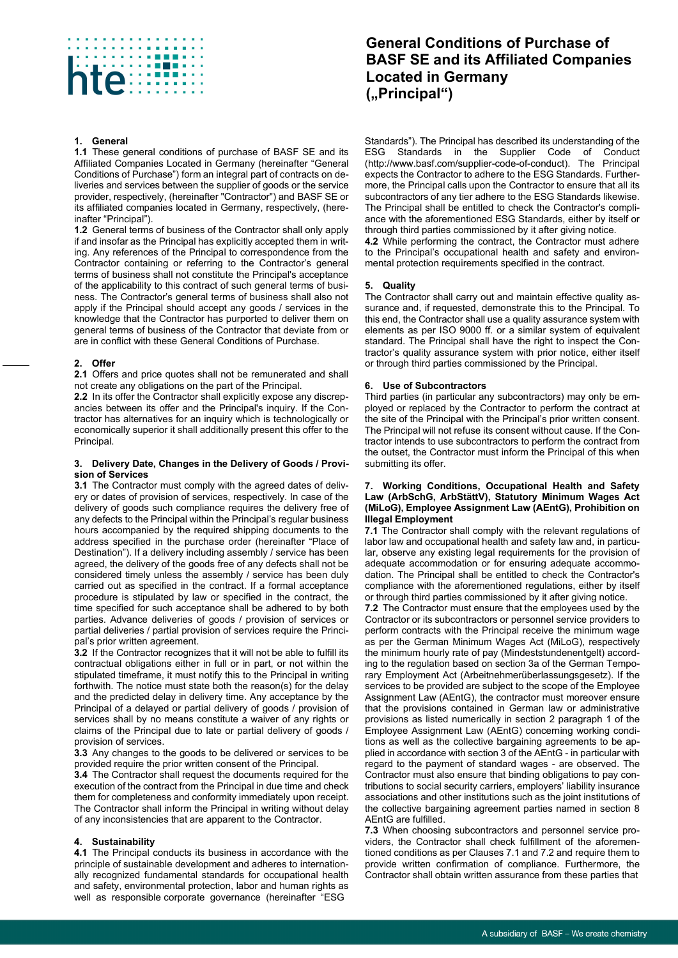

## **1. General**

**1.1** These general conditions of purchase of BASF SE and its Affiliated Companies Located in Germany (hereinafter "General Conditions of Purchase") form an integral part of contracts on deliveries and services between the supplier of goods or the service provider, respectively, (hereinafter "Contractor") and BASF SE or its affiliated companies located in Germany, respectively, (hereinafter "Principal").

**1.2** General terms of business of the Contractor shall only apply if and insofar as the Principal has explicitly accepted them in writing. Any references of the Principal to correspondence from the Contractor containing or referring to the Contractor's general terms of business shall not constitute the Principal's acceptance of the applicability to this contract of such general terms of business. The Contractor's general terms of business shall also not apply if the Principal should accept any goods / services in the knowledge that the Contractor has purported to deliver them on general terms of business of the Contractor that deviate from or are in conflict with these General Conditions of Purchase.

### **2. Offer**

**2.1** Offers and price quotes shall not be remunerated and shall not create any obligations on the part of the Principal.

**2.2** In its offer the Contractor shall explicitly expose any discrepancies between its offer and the Principal's inquiry. If the Contractor has alternatives for an inquiry which is technologically or economically superior it shall additionally present this offer to the Principal.

#### **3. Delivery Date, Changes in the Delivery of Goods / Provision of Services**

**3.1** The Contractor must comply with the agreed dates of delivery or dates of provision of services, respectively. In case of the delivery of goods such compliance requires the delivery free of any defects to the Principal within the Principal's regular business hours accompanied by the required shipping documents to the address specified in the purchase order (hereinafter "Place of Destination"). If a delivery including assembly / service has been agreed, the delivery of the goods free of any defects shall not be considered timely unless the assembly / service has been duly carried out as specified in the contract. If a formal acceptance procedure is stipulated by law or specified in the contract, the time specified for such acceptance shall be adhered to by both parties. Advance deliveries of goods / provision of services or partial deliveries / partial provision of services require the Principal's prior written agreement.

**3.2** If the Contractor recognizes that it will not be able to fulfill its contractual obligations either in full or in part, or not within the stipulated timeframe, it must notify this to the Principal in writing forthwith. The notice must state both the reason(s) for the delay and the predicted delay in delivery time. Any acceptance by the Principal of a delayed or partial delivery of goods / provision of services shall by no means constitute a waiver of any rights or claims of the Principal due to late or partial delivery of goods / provision of services.

**3.3** Any changes to the goods to be delivered or services to be provided require the prior written consent of the Principal.

**3.4** The Contractor shall request the documents required for the execution of the contract from the Principal in due time and check them for completeness and conformity immediately upon receipt. The Contractor shall inform the Principal in writing without delay of any inconsistencies that are apparent to the Contractor.

### **4. Sustainability**

**4.1** The Principal conducts its business in accordance with the principle of sustainable development and adheres to internationally recognized fundamental standards for occupational health and safety, environmental protection, labor and human rights as well as responsible corporate governance (hereinafter "ESG

# **General Conditions of Purchase of BASF SE and its Affiliated Companies Located in Germany ("Principal")**

Standards"). The Principal has described its understanding of the ESG Standards in the Supplier Code of Conduct Standards in the Supplier Code [\(http://www.basf.com/supplier-code-of-conduct\).](http://www.basf.com/supplier-code-of-conduct)) The Principal expects the Contractor to adhere to the ESG Standards. Furthermore, the Principal calls upon the Contractor to ensure that all its subcontractors of any tier adhere to the ESG Standards likewise. The Principal shall be entitled to check the Contractor's compliance with the aforementioned ESG Standards, either by itself or through third parties commissioned by it after giving notice. **4.2** While performing the contract, the Contractor must adhere to the Principal's occupational health and safety and environ-

**5. Quality**

The Contractor shall carry out and maintain effective quality assurance and, if requested, demonstrate this to the Principal. To this end, the Contractor shall use a quality assurance system with elements as per ISO 9000 ff. or a similar system of equivalent standard. The Principal shall have the right to inspect the Contractor's quality assurance system with prior notice, either itself or through third parties commissioned by the Principal.

mental protection requirements specified in the contract.

## **6. Use of Subcontractors**

Third parties (in particular any subcontractors) may only be employed or replaced by the Contractor to perform the contract at the site of the Principal with the Principal's prior written consent. The Principal will not refuse its consent without cause. If the Contractor intends to use subcontractors to perform the contract from the outset, the Contractor must inform the Principal of this when submitting its offer.

### **7. Working Conditions, Occupational Health and Safety Law (ArbSchG, ArbStättV), Statutory Minimum Wages Act (MiLoG), Employee Assignment Law (AEntG), Prohibition on Illegal Employment**

**7.1** The Contractor shall comply with the relevant regulations of labor law and occupational health and safety law and, in particular, observe any existing legal requirements for the provision of adequate accommodation or for ensuring adequate accommodation. The Principal shall be entitled to check the Contractor's compliance with the aforementioned regulations, either by itself or through third parties commissioned by it after giving notice.

**7.2** The Contractor must ensure that the employees used by the Contractor or its subcontractors or personnel service providers to perform contracts with the Principal receive the minimum wage as per the German Minimum Wages Act (MiLoG), respectively the minimum hourly rate of pay (Mindeststundenentgelt) according to the regulation based on section 3a of the German Temporary Employment Act (Arbeitnehmerüberlassungsgesetz). If the services to be provided are subject to the scope of the Employee Assignment Law (AEntG), the contractor must moreover ensure that the provisions contained in German law or administrative provisions as listed numerically in section 2 paragraph 1 of the Employee Assignment Law (AEntG) concerning working conditions as well as the collective bargaining agreements to be applied in accordance with section 3 of the AEntG - in particular with regard to the payment of standard wages - are observed. The Contractor must also ensure that binding obligations to pay contributions to social security carriers, employers' liability insurance associations and other institutions such as the joint institutions of the collective bargaining agreement parties named in section 8 AEntG are fulfilled.

**7.3** When choosing subcontractors and personnel service providers, the Contractor shall check fulfillment of the aforementioned conditions as per Clauses 7.1 and 7.2 and require them to provide written confirmation of compliance. Furthermore, the Contractor shall obtain written assurance from these parties that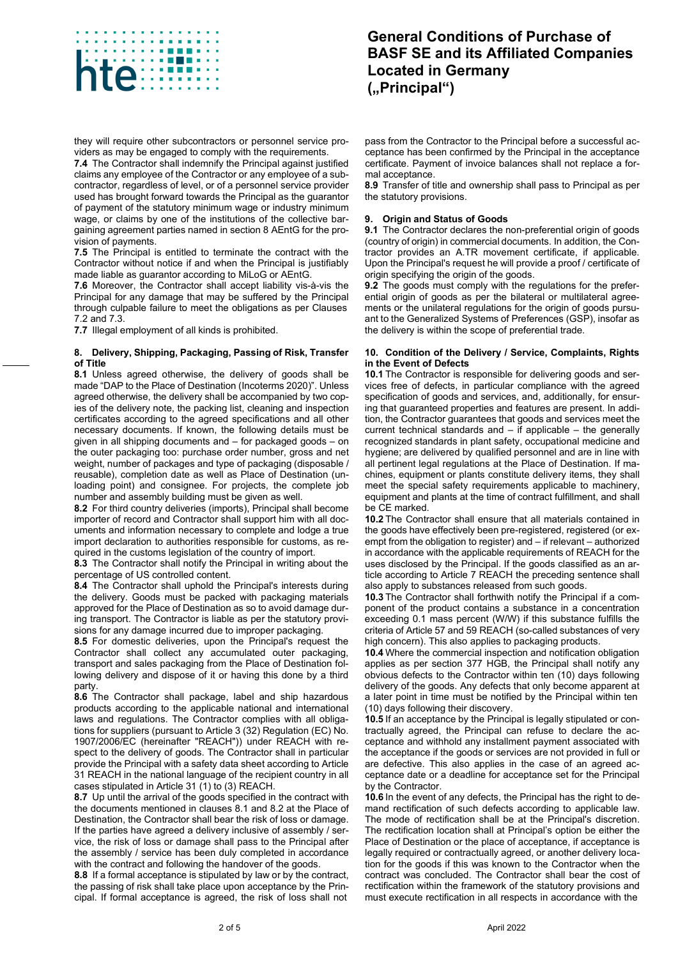

they will require other subcontractors or personnel service providers as may be engaged to comply with the requirements.

**7.4** The Contractor shall indemnify the Principal against justified claims any employee of the Contractor or any employee of a subcontractor, regardless of level, or of a personnel service provider used has brought forward towards the Principal as the guarantor of payment of the statutory minimum wage or industry minimum wage, or claims by one of the institutions of the collective bargaining agreement parties named in section 8 AEntG for the provision of payments.

**7.5** The Principal is entitled to terminate the contract with the Contractor without notice if and when the Principal is justifiably made liable as guarantor according to MiLoG or AEntG.

**7.6** Moreover, the Contractor shall accept liability vis-à-vis the Principal for any damage that may be suffered by the Principal through culpable failure to meet the obligations as per Clauses 7.2 and 7.3.

**7.7** Illegal employment of all kinds is prohibited.

## **8. Delivery, Shipping, Packaging, Passing of Risk, Transfer of Title**

**8.1** Unless agreed otherwise, the delivery of goods shall be made "DAP to the Place of Destination (Incoterms 2020)". Unless agreed otherwise, the delivery shall be accompanied by two copies of the delivery note, the packing list, cleaning and inspection certificates according to the agreed specifications and all other necessary documents. If known, the following details must be given in all shipping documents and – for packaged goods – on the outer packaging too: purchase order number, gross and net weight, number of packages and type of packaging (disposable / reusable), completion date as well as Place of Destination (unloading point) and consignee. For projects, the complete job number and assembly building must be given as well.

**8.2** For third country deliveries (imports), Principal shall become importer of record and Contractor shall support him with all documents and information necessary to complete and lodge a true import declaration to authorities responsible for customs, as required in the customs legislation of the country of import.

**8.3** The Contractor shall notify the Principal in writing about the percentage of US controlled content.

**8.4** The Contractor shall uphold the Principal's interests during the delivery. Goods must be packed with packaging materials approved for the Place of Destination as so to avoid damage during transport. The Contractor is liable as per the statutory provisions for any damage incurred due to improper packaging.

**8.5** For domestic deliveries, upon the Principal's request the Contractor shall collect any accumulated outer packaging, transport and sales packaging from the Place of Destination following delivery and dispose of it or having this done by a third party.

**8.6** The Contractor shall package, label and ship hazardous products according to the applicable national and international laws and regulations. The Contractor complies with all obligations for suppliers (pursuant to Article 3 (32) Regulation (EC) No. 1907/2006/EC (hereinafter "REACH")) under REACH with respect to the delivery of goods. The Contractor shall in particular provide the Principal with a safety data sheet according to Article 31 REACH in the national language of the recipient country in all cases stipulated in Article 31 (1) to (3) REACH.

**8.7** Up until the arrival of the goods specified in the contract with the documents mentioned in clauses 8.1 and 8.2 at the Place of Destination, the Contractor shall bear the risk of loss or damage. If the parties have agreed a delivery inclusive of assembly / service, the risk of loss or damage shall pass to the Principal after the assembly / service has been duly completed in accordance with the contract and following the handover of the goods.

**8.8** If a formal acceptance is stipulated by law or by the contract, the passing of risk shall take place upon acceptance by the Principal. If formal acceptance is agreed, the risk of loss shall not

# **General Conditions of Purchase of BASF SE and its Affiliated Companies Located in Germany ("Principal")**

pass from the Contractor to the Principal before a successful acceptance has been confirmed by the Principal in the acceptance certificate. Payment of invoice balances shall not replace a formal acceptance.

**8.9** Transfer of title and ownership shall pass to Principal as per the statutory provisions.

## **9. Origin and Status of Goods**

**9.1** The Contractor declares the non-preferential origin of goods (country of origin) in commercial documents. In addition, the Contractor provides an A.TR movement certificate, if applicable. Upon the Principal's request he will provide a proof / certificate of origin specifying the origin of the goods.

**9.2** The goods must comply with the regulations for the preferential origin of goods as per the bilateral or multilateral agreements or the unilateral regulations for the origin of goods pursuant to the Generalized Systems of Preferences (GSP), insofar as the delivery is within the scope of preferential trade.

### **10. Condition of the Delivery / Service, Complaints, Rights in the Event of Defects**

**10.1** The Contractor is responsible for delivering goods and services free of defects, in particular compliance with the agreed specification of goods and services, and, additionally, for ensuring that guaranteed properties and features are present. In addition, the Contractor guarantees that goods and services meet the current technical standards and – if applicable – the generally recognized standards in plant safety, occupational medicine and hygiene; are delivered by qualified personnel and are in line with all pertinent legal regulations at the Place of Destination. If machines, equipment or plants constitute delivery items, they shall meet the special safety requirements applicable to machinery, equipment and plants at the time of contract fulfillment, and shall be CE marked.

**10.2** The Contractor shall ensure that all materials contained in the goods have effectively been pre-registered, registered (or exempt from the obligation to register) and – if relevant – authorized in accordance with the applicable requirements of REACH for the uses disclosed by the Principal. If the goods classified as an article according to Article 7 REACH the preceding sentence shall also apply to substances released from such goods.

**10.3** The Contractor shall forthwith notify the Principal if a component of the product contains a substance in a concentration exceeding 0.1 mass percent (W/W) if this substance fulfills the criteria of Article 57 and 59 REACH (so-called substances of very high concern). This also applies to packaging products.

**10.4** Where the commercial inspection and notification obligation applies as per section 377 HGB, the Principal shall notify any obvious defects to the Contractor within ten (10) days following delivery of the goods. Any defects that only become apparent at a later point in time must be notified by the Principal within ten (10) days following their discovery.

**10.5** If an acceptance by the Principal is legally stipulated or contractually agreed, the Principal can refuse to declare the acceptance and withhold any installment payment associated with the acceptance if the goods or services are not provided in full or are defective. This also applies in the case of an agreed acceptance date or a deadline for acceptance set for the Principal by the Contractor.

**10.6** In the event of any defects, the Principal has the right to demand rectification of such defects according to applicable law. The mode of rectification shall be at the Principal's discretion. The rectification location shall at Principal's option be either the Place of Destination or the place of acceptance, if acceptance is legally required or contractually agreed, or another delivery location for the goods if this was known to the Contractor when the contract was concluded. The Contractor shall bear the cost of rectification within the framework of the statutory provisions and must execute rectification in all respects in accordance with the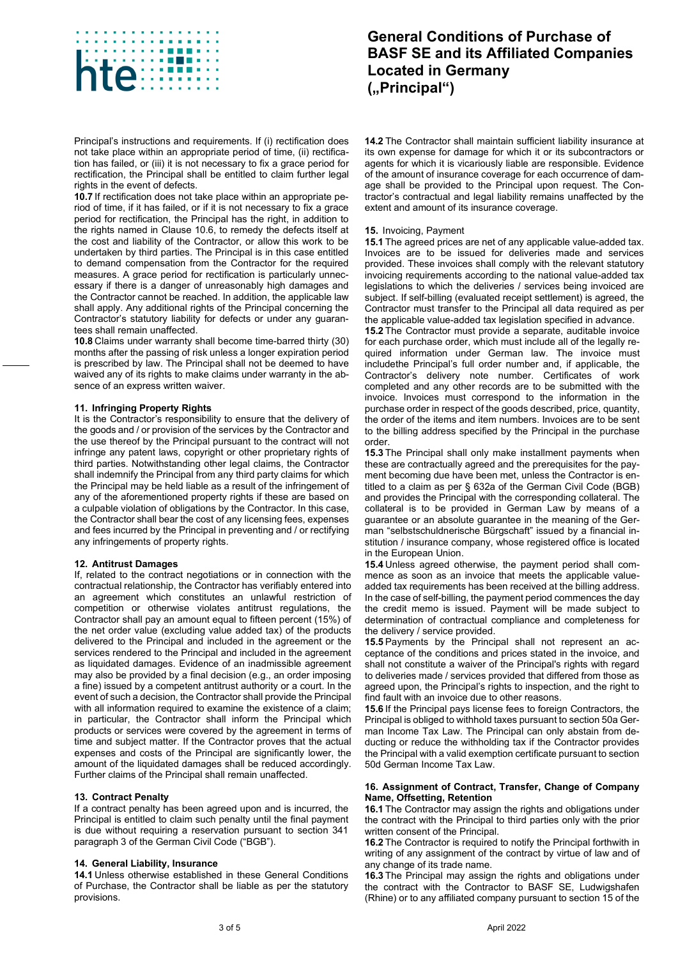

Principal's instructions and requirements. If (i) rectification does not take place within an appropriate period of time, (ii) rectification has failed, or (iii) it is not necessary to fix a grace period for rectification, the Principal shall be entitled to claim further legal rights in the event of defects.

**10.7** If rectification does not take place within an appropriate period of time, if it has failed, or if it is not necessary to fix a grace period for rectification, the Principal has the right, in addition to the rights named in Clause 10.6, to remedy the defects itself at the cost and liability of the Contractor, or allow this work to be undertaken by third parties. The Principal is in this case entitled to demand compensation from the Contractor for the required measures. A grace period for rectification is particularly unnecessary if there is a danger of unreasonably high damages and the Contractor cannot be reached. In addition, the applicable law shall apply. Any additional rights of the Principal concerning the Contractor's statutory liability for defects or under any guarantees shall remain unaffected.

**10.8** Claims under warranty shall become time-barred thirty (30) months after the passing of risk unless a longer expiration period is prescribed by law. The Principal shall not be deemed to have waived any of its rights to make claims under warranty in the absence of an express written waiver.

### **11. Infringing Property Rights**

It is the Contractor's responsibility to ensure that the delivery of the goods and / or provision of the services by the Contractor and the use thereof by the Principal pursuant to the contract will not infringe any patent laws, copyright or other proprietary rights of third parties. Notwithstanding other legal claims, the Contractor shall indemnify the Principal from any third party claims for which the Principal may be held liable as a result of the infringement of any of the aforementioned property rights if these are based on a culpable violation of obligations by the Contractor. In this case, the Contractor shall bear the cost of any licensing fees, expenses and fees incurred by the Principal in preventing and / or rectifying any infringements of property rights.

### **12. Antitrust Damages**

If, related to the contract negotiations or in connection with the contractual relationship, the Contractor has verifiably entered into an agreement which constitutes an unlawful restriction of competition or otherwise violates antitrust regulations, the Contractor shall pay an amount equal to fifteen percent (15%) of the net order value (excluding value added tax) of the products delivered to the Principal and included in the agreement or the services rendered to the Principal and included in the agreement as liquidated damages. Evidence of an inadmissible agreement may also be provided by a final decision (e.g., an order imposing a fine) issued by a competent antitrust authority or a court. In the event of such a decision, the Contractor shall provide the Principal with all information required to examine the existence of a claim; in particular, the Contractor shall inform the Principal which products or services were covered by the agreement in terms of time and subject matter. If the Contractor proves that the actual expenses and costs of the Principal are significantly lower, the amount of the liquidated damages shall be reduced accordingly. Further claims of the Principal shall remain unaffected.

### **13. Contract Penalty**

If a contract penalty has been agreed upon and is incurred, the Principal is entitled to claim such penalty until the final payment is due without requiring a reservation pursuant to section 341 paragraph 3 of the German Civil Code ("BGB").

### **14. General Liability, Insurance**

**14.1** Unless otherwise established in these General Conditions of Purchase, the Contractor shall be liable as per the statutory provisions.

# **General Conditions of Purchase of BASF SE and its Affiliated Companies Located in Germany ("Principal")**

**14.2** The Contractor shall maintain sufficient liability insurance at its own expense for damage for which it or its subcontractors or agents for which it is vicariously liable are responsible. Evidence of the amount of insurance coverage for each occurrence of damage shall be provided to the Principal upon request. The Contractor's contractual and legal liability remains unaffected by the extent and amount of its insurance coverage.

#### **15.** Invoicing, Payment

**15.1** The agreed prices are net of any applicable value-added tax. Invoices are to be issued for deliveries made and services provided. These invoices shall comply with the relevant statutory invoicing requirements according to the national value-added tax legislations to which the deliveries / services being invoiced are subject. If self-billing (evaluated receipt settlement) is agreed, the Contractor must transfer to the Principal all data required as per the applicable value-added tax legislation specified in advance.

**15.2** The Contractor must provide a separate, auditable invoice for each purchase order, which must include all of the legally required information under German law. The invoice must includethe Principal's full order number and, if applicable, the Contractor's delivery note number. Certificates of work completed and any other records are to be submitted with the invoice. Invoices must correspond to the information in the purchase order in respect of the goods described, price, quantity, the order of the items and item numbers. Invoices are to be sent to the billing address specified by the Principal in the purchase order.

**15.3** The Principal shall only make installment payments when these are contractually agreed and the prerequisites for the payment becoming due have been met, unless the Contractor is entitled to a claim as per § 632a of the German Civil Code (BGB) and provides the Principal with the corresponding collateral. The collateral is to be provided in German Law by means of a guarantee or an absolute guarantee in the meaning of the German "selbstschuldnerische Bürgschaft" issued by a financial institution / insurance company, whose registered office is located in the European Union.

**15.4** Unless agreed otherwise, the payment period shall commence as soon as an invoice that meets the applicable valueadded tax requirements has been received at the billing address. In the case of self-billing, the payment period commences the day the credit memo is issued. Payment will be made subject to determination of contractual compliance and completeness for the delivery / service provided.

**15.5** Payments by the Principal shall not represent an acceptance of the conditions and prices stated in the invoice, and shall not constitute a waiver of the Principal's rights with regard to deliveries made / services provided that differed from those as agreed upon, the Principal's rights to inspection, and the right to find fault with an invoice due to other reasons.

**15.6** If the Principal pays license fees to foreign Contractors, the Principal is obliged to withhold taxes pursuant to section 50a German Income Tax Law. The Principal can only abstain from deducting or reduce the withholding tax if the Contractor provides the Principal with a valid exemption certificate pursuant to section 50d German Income Tax Law.

#### **16. Assignment of Contract, Transfer, Change of Company Name, Offsetting, Retention**

**16.1** The Contractor may assign the rights and obligations under the contract with the Principal to third parties only with the prior written consent of the Principal.

**16.2** The Contractor is required to notify the Principal forthwith in writing of any assignment of the contract by virtue of law and of any change of its trade name.

**16.3** The Principal may assign the rights and obligations under the contract with the Contractor to BASF SE, Ludwigshafen (Rhine) or to any affiliated company pursuant to section 15 of the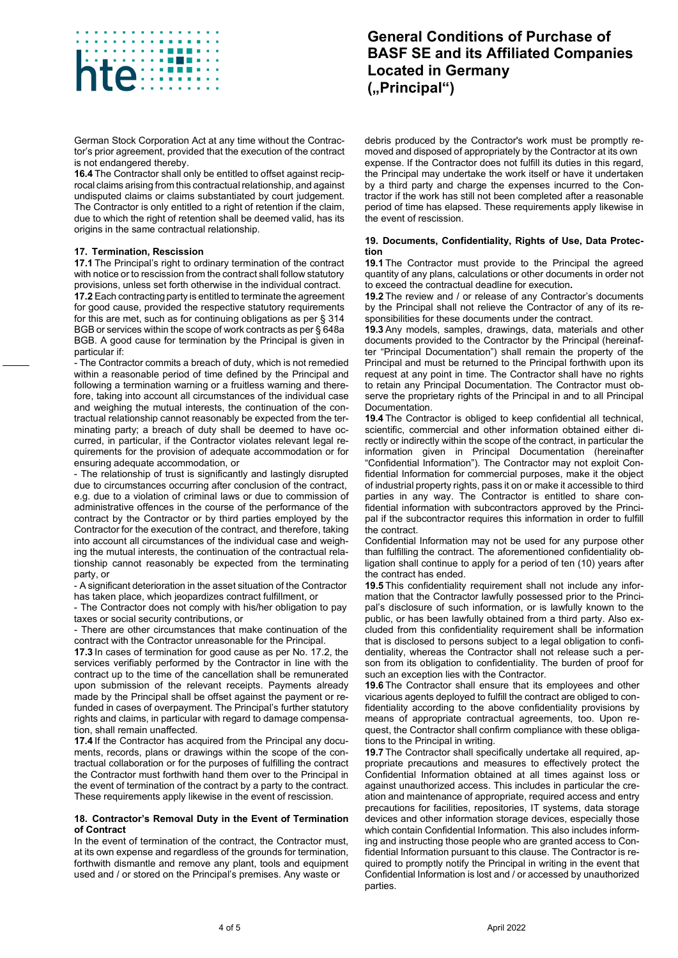

German Stock Corporation Act at any time without the Contractor's prior agreement, provided that the execution of the contract is not endangered thereby.

**16.4** The Contractor shall only be entitled to offset against reciprocal claims arising from this contractual relationship, and against undisputed claims or claims substantiated by court judgement. The Contractor is only entitled to a right of retention if the claim, due to which the right of retention shall be deemed valid, has its origins in the same contractual relationship.

### **17. Termination, Rescission**

**17.1** The Principal's right to ordinary termination of the contract with notice or to rescission from the contract shall follow statutory provisions, unless set forth otherwise in the individual contract.

**17.2** Each contracting party is entitled to terminate the agreement for good cause, provided the respective statutory requirements for this are met, such as for continuing obligations as per § 314 BGB or services within the scope of work contracts as per § 648a BGB. A good cause for termination by the Principal is given in particular if:

- The Contractor commits a breach of duty, which is not remedied within a reasonable period of time defined by the Principal and following a termination warning or a fruitless warning and therefore, taking into account all circumstances of the individual case and weighing the mutual interests, the continuation of the contractual relationship cannot reasonably be expected from the terminating party; a breach of duty shall be deemed to have occurred, in particular, if the Contractor violates relevant legal requirements for the provision of adequate accommodation or for ensuring adequate accommodation, or

- The relationship of trust is significantly and lastingly disrupted due to circumstances occurring after conclusion of the contract, e.g. due to a violation of criminal laws or due to commission of administrative offences in the course of the performance of the contract by the Contractor or by third parties employed by the Contractor for the execution of the contract, and therefore, taking into account all circumstances of the individual case and weighing the mutual interests, the continuation of the contractual relationship cannot reasonably be expected from the terminating party, or

- A significant deterioration in the asset situation of the Contractor has taken place, which jeopardizes contract fulfillment, or

- The Contractor does not comply with his/her obligation to pay taxes or social security contributions, or

- There are other circumstances that make continuation of the contract with the Contractor unreasonable for the Principal.

**17.3** In cases of termination for good cause as per No. 17.2, the services verifiably performed by the Contractor in line with the contract up to the time of the cancellation shall be remunerated upon submission of the relevant receipts. Payments already made by the Principal shall be offset against the payment or refunded in cases of overpayment. The Principal's further statutory rights and claims, in particular with regard to damage compensation, shall remain unaffected.

**17.4** If the Contractor has acquired from the Principal any documents, records, plans or drawings within the scope of the contractual collaboration or for the purposes of fulfilling the contract the Contractor must forthwith hand them over to the Principal in the event of termination of the contract by a party to the contract. These requirements apply likewise in the event of rescission.

#### **18. Contractor's Removal Duty in the Event of Termination of Contract**

In the event of termination of the contract, the Contractor must, at its own expense and regardless of the grounds for termination, forthwith dismantle and remove any plant, tools and equipment used and / or stored on the Principal's premises. Any waste or

# **General Conditions of Purchase of BASF SE and its Affiliated Companies Located in Germany ("Principal")**

debris produced by the Contractor's work must be promptly removed and disposed of appropriately by the Contractor at its own expense. If the Contractor does not fulfill its duties in this regard, the Principal may undertake the work itself or have it undertaken by a third party and charge the expenses incurred to the Contractor if the work has still not been completed after a reasonable period of time has elapsed. These requirements apply likewise in the event of rescission.

#### **19. Documents, Confidentiality, Rights of Use, Data Protection**

**19.1** The Contractor must provide to the Principal the agreed quantity of any plans, calculations or other documents in order not to exceed the contractual deadline for execution**.**

**19.2** The review and / or release of any Contractor's documents by the Principal shall not relieve the Contractor of any of its responsibilities for these documents under the contract.

**19.3** Any models, samples, drawings, data, materials and other documents provided to the Contractor by the Principal (hereinafter "Principal Documentation") shall remain the property of the Principal and must be returned to the Principal forthwith upon its request at any point in time. The Contractor shall have no rights to retain any Principal Documentation. The Contractor must observe the proprietary rights of the Principal in and to all Principal Documentation.

**19.4** The Contractor is obliged to keep confidential all technical, scientific, commercial and other information obtained either directly or indirectly within the scope of the contract, in particular the information given in Principal Documentation (hereinafter "Confidential Information"). The Contractor may not exploit Confidential Information for commercial purposes, make it the object of industrial property rights, pass it on or make it accessible to third parties in any way. The Contractor is entitled to share confidential information with subcontractors approved by the Principal if the subcontractor requires this information in order to fulfill the contract.

Confidential Information may not be used for any purpose other than fulfilling the contract. The aforementioned confidentiality obligation shall continue to apply for a period of ten (10) years after the contract has ended.

**19.5** This confidentiality requirement shall not include any information that the Contractor lawfully possessed prior to the Principal's disclosure of such information, or is lawfully known to the public, or has been lawfully obtained from a third party. Also excluded from this confidentiality requirement shall be information that is disclosed to persons subject to a legal obligation to confidentiality, whereas the Contractor shall not release such a person from its obligation to confidentiality. The burden of proof for such an exception lies with the Contractor.

**19.6** The Contractor shall ensure that its employees and other vicarious agents deployed to fulfill the contract are obliged to confidentiality according to the above confidentiality provisions by means of appropriate contractual agreements, too. Upon request, the Contractor shall confirm compliance with these obligations to the Principal in writing.

**19.7** The Contractor shall specifically undertake all required, appropriate precautions and measures to effectively protect the Confidential Information obtained at all times against loss or against unauthorized access. This includes in particular the creation and maintenance of appropriate, required access and entry precautions for facilities, repositories, IT systems, data storage devices and other information storage devices, especially those which contain Confidential Information. This also includes informing and instructing those people who are granted access to Confidential Information pursuant to this clause. The Contractor is required to promptly notify the Principal in writing in the event that Confidential Information is lost and / or accessed by unauthorized parties.